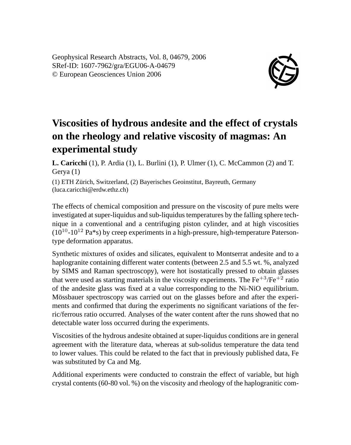Geophysical Research Abstracts, Vol. 8, 04679, 2006 SRef-ID: 1607-7962/gra/EGU06-A-04679 © European Geosciences Union 2006



## **Viscosities of hydrous andesite and the effect of crystals on the rheology and relative viscosity of magmas: An experimental study**

**L. Caricchi** (1), P. Ardia (1), L. Burlini (1), P. Ulmer (1), C. McCammon (2) and T. Gerya (1)

(1) ETH Zürich, Switzerland, (2) Bayerisches Geoinstitut, Bayreuth, Germany (luca.caricchi@erdw.ethz.ch)

The effects of chemical composition and pressure on the viscosity of pure melts were investigated at super-liquidus and sub-liquidus temperatures by the falling sphere technique in a conventional and a centrifuging piston cylinder, and at high viscosities  $(10^{10}-10^{12} \text{ Pa}^*)$  by creep experiments in a high-pressure, high-temperature Patersontype deformation apparatus.

Synthetic mixtures of oxides and silicates, equivalent to Montserrat andesite and to a haplogranite containing different water contents (between 2.5 and 5.5 wt. %, analyzed by SIMS and Raman spectroscopy), were hot isostatically pressed to obtain glasses that were used as starting materials in the viscosity experiments. The  $Fe^{+3}/Fe^{+2}$  ratio of the andesite glass was fixed at a value corresponding to the Ni-NiO equilibrium. Mössbauer spectroscopy was carried out on the glasses before and after the experiments and confirmed that during the experiments no significant variations of the ferric/ferrous ratio occurred. Analyses of the water content after the runs showed that no detectable water loss occurred during the experiments.

Viscosities of the hydrous andesite obtained at super-liquidus conditions are in general agreement with the literature data, whereas at sub-solidus temperature the data tend to lower values. This could be related to the fact that in previously published data, Fe was substituted by Ca and Mg.

Additional experiments were conducted to constrain the effect of variable, but high crystal contents (60-80 vol. %) on the viscosity and rheology of the haplogranitic com-